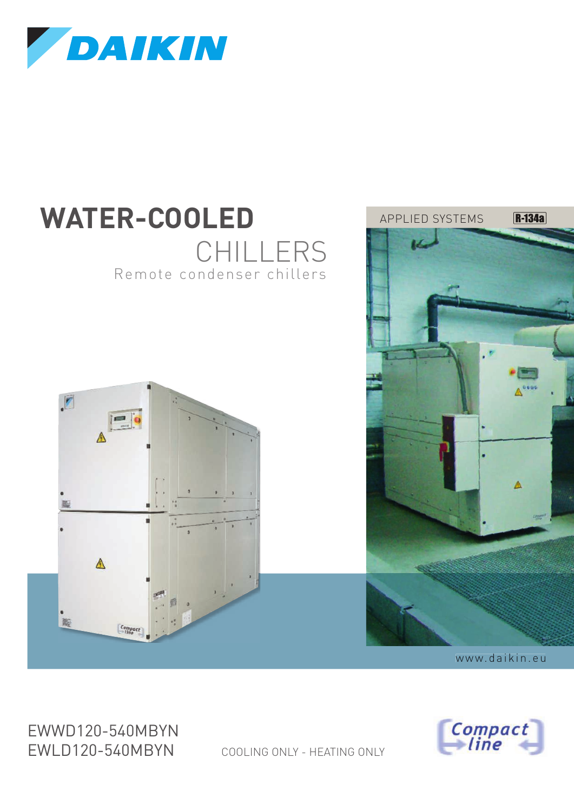

# Remote condenser chillers **WATER-COOLED** CHILLERS



Compact<br>— line

APPI IFD SYSTEMS

**R-134a** 

 $\triangle$ 

EWWD120-540MBYN EWLD120-540MBYN

COOLING ONLY - HEATING ONLY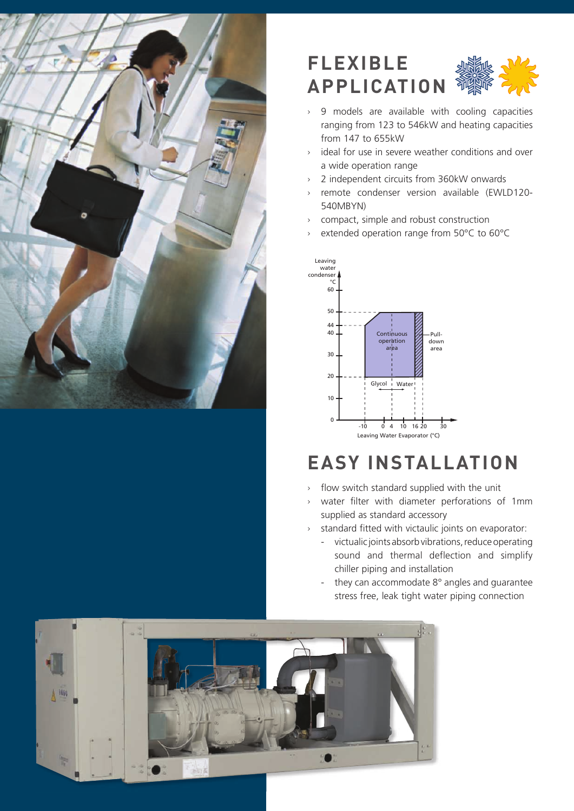

## $FLEXIBLE$ **APPLICATION**

- $\times$  9 models are available with cooling capacities ranging from 123 to 546kW and heating capacities from 147 to 655kW
- $\rightarrow$  ideal for use in severe weather conditions and over a wide operation range
- $\rightarrow$  2 independent circuits from 360kW onwards
- Æ remote condenser version available (EWLD120- 540MBYN)
- $\rightarrow$  compact, simple and robust construction
- $\times$  extended operation range from 50°C to 60°C



## **EASY INSTALLATION**

- $\rightarrow$  flow switch standard supplied with the unit
- $\times$  water filter with diameter perforations of 1mm supplied as standard accessory
- > standard fitted with victaulic joints on evaporator:
	- victualic joints absorb vibrations, reduce operating sound and thermal deflection and simplify chiller piping and installation
	- they can accommodate 8° angles and guarantee stress free, leak tight water piping connection

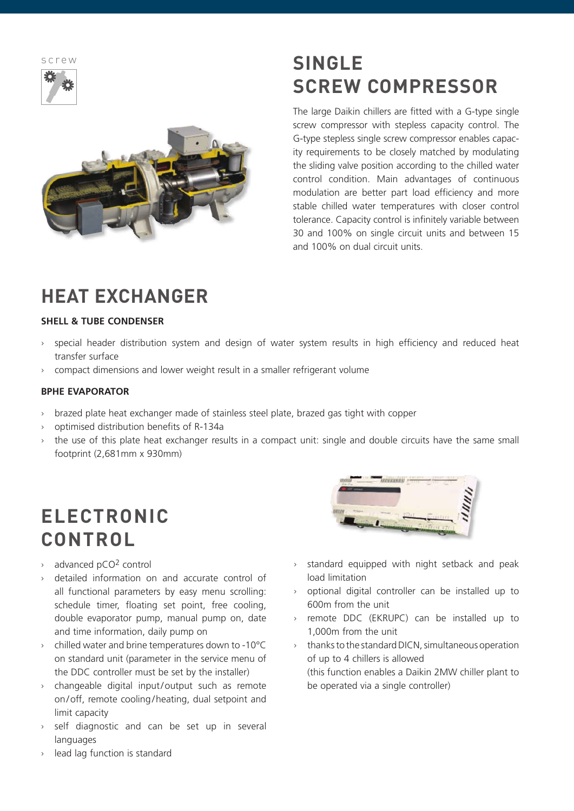$S \cap P \cap W$ 





## **SINGLE SCREW COMPRESSOR**

The large Daikin chillers are fitted with a G-type single screw compressor with stepless capacity control. The G-type stepless single screw compressor enables capacity requirements to be closely matched by modulating the sliding valve position according to the chilled water control condition. Main advantages of continuous modulation are better part load efficiency and more stable chilled water temperatures with closer control tolerance. Capacity control is infinitely variable between 30 and 100% on single circuit units and between 15 and 100% on dual circuit units.

## **HEAT EXCHANGER**

#### **SHELL & TUBE CONDENSER**

- Æ special header distribution system and design of water system results in high efficiency and reduced heat transfer surface
- $\rightarrow$  compact dimensions and lower weight result in a smaller refrigerant volume

#### **BPHE EVAPORATOR**

- $\rightarrow$  brazed plate heat exchanger made of stainless steel plate, brazed gas tight with copper
- $\rightarrow$  optimised distribution benefits of R-134a
- $\rightarrow$  the use of this plate heat exchanger results in a compact unit: single and double circuits have the same small footprint (2,681mm x 930mm)

## **ELECTRONIC CONTROL**

- $\rightarrow$  advanced pCO<sup>2</sup> control
- Æ detailed information on and accurate control of all functional parameters by easy menu scrolling: schedule timer, floating set point, free cooling, double evaporator pump, manual pump on, date and time information, daily pump on
- $\rightarrow$  chilled water and brine temperatures down to -10 $^{\circ}$ C on standard unit (parameter in the service menu of the DDC controller must be set by the installer)
- $\times$  changeable digital input/output such as remote on/off, remote cooling/heating, dual setpoint and limit capacity
- self diagnostic and can be set up in several languages



- $\times$  standard equipped with night setback and peak load limitation
- $\rightarrow$  optional digital controller can be installed up to 600m from the unit
- > remote DDC (EKRUPC) can be installed up to 1,000m from the unit
- $\times$  thanks to the standard DICN, simultaneous operation of up to 4 chillers is allowed (this function enables a Daikin 2MW chiller plant to be operated via a single controller)

lead lag function is standard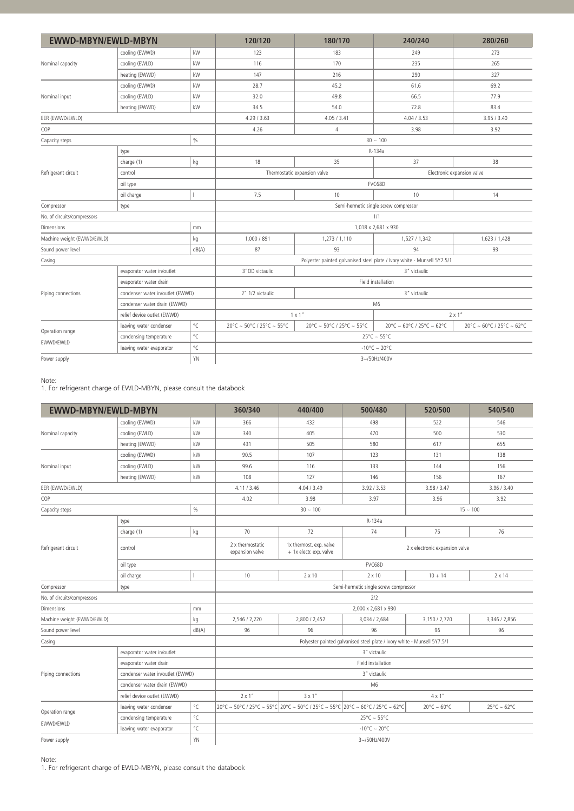| <b>EWWD-MBYN/EWLD-MBYN</b>  |                                                                                                                                                                                                                                                                                                                                                                                                                                                                                                                                                                               |                                       | 120/120                   | 180/170                      | 280/260<br>240/240                                                                                                                                                                                                                                                                                                                        |                           |  |  |  |  |  |
|-----------------------------|-------------------------------------------------------------------------------------------------------------------------------------------------------------------------------------------------------------------------------------------------------------------------------------------------------------------------------------------------------------------------------------------------------------------------------------------------------------------------------------------------------------------------------------------------------------------------------|---------------------------------------|---------------------------|------------------------------|-------------------------------------------------------------------------------------------------------------------------------------------------------------------------------------------------------------------------------------------------------------------------------------------------------------------------------------------|---------------------------|--|--|--|--|--|
|                             | cooling (EWWD)                                                                                                                                                                                                                                                                                                                                                                                                                                                                                                                                                                | kW                                    | 123                       | 183                          | 249                                                                                                                                                                                                                                                                                                                                       | 273                       |  |  |  |  |  |
| Nominal capacity            | cooling (EWLD)                                                                                                                                                                                                                                                                                                                                                                                                                                                                                                                                                                | kW                                    | 116                       | 170                          | 235                                                                                                                                                                                                                                                                                                                                       | 265                       |  |  |  |  |  |
|                             | heating (EWWD)                                                                                                                                                                                                                                                                                                                                                                                                                                                                                                                                                                | kW                                    | 147                       | 216                          | 290<br>61.6<br>66.5<br>72.8<br>4.04 / 3.53<br>3.98<br>$30 \sim 100$<br>R-134a<br>37<br>Electronic expansion valve<br>FVC68D<br>10<br>1/1<br>1,527 / 1,342<br>94<br>3" victaulic<br>Field installation<br>3" victaulic<br>M <sub>6</sub><br>$2 \times 1$ "<br>20°C ~ 60°C / 25°C ~ 62°C<br>$25^{\circ}$ C ~ 55°C<br>$-10^{\circ}$ C ~ 20°C | 327                       |  |  |  |  |  |
|                             | cooling (EWWD)                                                                                                                                                                                                                                                                                                                                                                                                                                                                                                                                                                | kW                                    | 28.7                      | 45.2                         | 1,018 x 2,681 x 930<br>Polyester painted galvanised steel plate / Ivory white - Munsell 5Y7.5/1                                                                                                                                                                                                                                           | 69.2                      |  |  |  |  |  |
| Nominal input               | kW<br>cooling (EWLD)<br>32.0<br>kW<br>34.5<br>heating (EWWD)<br>4.29 / 3.63<br>4.26<br>$\%$<br>type<br>18<br>charge (1)<br>kg<br>control<br>oil type<br>7.5<br>oil charge<br>type<br>mm<br>1,000 / 891<br>kg<br>dB(A)<br>87<br>3" OD victaulic<br>evaporator water in/outlet<br>evaporator water drain<br>2" 1/2 victaulic<br>condenser water in/outlet (EWWD)<br>condenser water drain (EWWD)<br>relief device outlet (EWWD)<br>$^{\circ}{\sf C}$<br>leaving water condenser<br>$^{\circ}{\sf C}$<br>condensing temperature<br>$^{\circ}{\sf C}$<br>leaving water evaporator | 49.8                                  |                           | 77.9                         |                                                                                                                                                                                                                                                                                                                                           |                           |  |  |  |  |  |
|                             |                                                                                                                                                                                                                                                                                                                                                                                                                                                                                                                                                                               |                                       |                           | 54.0                         |                                                                                                                                                                                                                                                                                                                                           | 83.4                      |  |  |  |  |  |
| EER (EWWD/EWLD)             |                                                                                                                                                                                                                                                                                                                                                                                                                                                                                                                                                                               |                                       |                           | 4.05 / 3.41                  |                                                                                                                                                                                                                                                                                                                                           | 3.95 / 3.40               |  |  |  |  |  |
| COP                         |                                                                                                                                                                                                                                                                                                                                                                                                                                                                                                                                                                               |                                       |                           | $\overline{4}$               |                                                                                                                                                                                                                                                                                                                                           | 3.92                      |  |  |  |  |  |
| Capacity steps              |                                                                                                                                                                                                                                                                                                                                                                                                                                                                                                                                                                               |                                       |                           |                              |                                                                                                                                                                                                                                                                                                                                           |                           |  |  |  |  |  |
| Refrigerant circuit         |                                                                                                                                                                                                                                                                                                                                                                                                                                                                                                                                                                               |                                       |                           |                              |                                                                                                                                                                                                                                                                                                                                           |                           |  |  |  |  |  |
|                             |                                                                                                                                                                                                                                                                                                                                                                                                                                                                                                                                                                               |                                       |                           | 35                           |                                                                                                                                                                                                                                                                                                                                           | 38                        |  |  |  |  |  |
|                             |                                                                                                                                                                                                                                                                                                                                                                                                                                                                                                                                                                               |                                       |                           | Thermostatic expansion valve |                                                                                                                                                                                                                                                                                                                                           |                           |  |  |  |  |  |
|                             |                                                                                                                                                                                                                                                                                                                                                                                                                                                                                                                                                                               |                                       |                           |                              |                                                                                                                                                                                                                                                                                                                                           |                           |  |  |  |  |  |
|                             |                                                                                                                                                                                                                                                                                                                                                                                                                                                                                                                                                                               |                                       |                           | 10                           |                                                                                                                                                                                                                                                                                                                                           | 14                        |  |  |  |  |  |
| Compressor                  |                                                                                                                                                                                                                                                                                                                                                                                                                                                                                                                                                                               | Semi-hermetic single screw compressor |                           |                              |                                                                                                                                                                                                                                                                                                                                           |                           |  |  |  |  |  |
| No. of circuits/compressors |                                                                                                                                                                                                                                                                                                                                                                                                                                                                                                                                                                               |                                       |                           |                              |                                                                                                                                                                                                                                                                                                                                           |                           |  |  |  |  |  |
| <b>Dimensions</b>           |                                                                                                                                                                                                                                                                                                                                                                                                                                                                                                                                                                               |                                       |                           |                              |                                                                                                                                                                                                                                                                                                                                           |                           |  |  |  |  |  |
|                             | Machine weight (EWWD/EWLD)                                                                                                                                                                                                                                                                                                                                                                                                                                                                                                                                                    |                                       |                           | 1,273 / 1,110                |                                                                                                                                                                                                                                                                                                                                           | 1,623 / 1,428             |  |  |  |  |  |
| Sound power level           |                                                                                                                                                                                                                                                                                                                                                                                                                                                                                                                                                                               |                                       |                           | 93                           |                                                                                                                                                                                                                                                                                                                                           | 93                        |  |  |  |  |  |
| Casing                      |                                                                                                                                                                                                                                                                                                                                                                                                                                                                                                                                                                               |                                       |                           |                              |                                                                                                                                                                                                                                                                                                                                           |                           |  |  |  |  |  |
|                             |                                                                                                                                                                                                                                                                                                                                                                                                                                                                                                                                                                               |                                       |                           |                              |                                                                                                                                                                                                                                                                                                                                           |                           |  |  |  |  |  |
|                             |                                                                                                                                                                                                                                                                                                                                                                                                                                                                                                                                                                               |                                       |                           |                              |                                                                                                                                                                                                                                                                                                                                           |                           |  |  |  |  |  |
| Piping connections          |                                                                                                                                                                                                                                                                                                                                                                                                                                                                                                                                                                               |                                       |                           |                              |                                                                                                                                                                                                                                                                                                                                           |                           |  |  |  |  |  |
|                             |                                                                                                                                                                                                                                                                                                                                                                                                                                                                                                                                                                               |                                       |                           |                              |                                                                                                                                                                                                                                                                                                                                           |                           |  |  |  |  |  |
|                             |                                                                                                                                                                                                                                                                                                                                                                                                                                                                                                                                                                               |                                       |                           | $1 \times 1$ "               |                                                                                                                                                                                                                                                                                                                                           |                           |  |  |  |  |  |
|                             |                                                                                                                                                                                                                                                                                                                                                                                                                                                                                                                                                                               |                                       | 20°C ~ 50°C / 25°C ~ 55°C | 20°C ~ 50°C / 25°C ~ 55°C    |                                                                                                                                                                                                                                                                                                                                           | 20°C ~ 60°C / 25°C ~ 62°C |  |  |  |  |  |
| Operation range             |                                                                                                                                                                                                                                                                                                                                                                                                                                                                                                                                                                               |                                       |                           |                              |                                                                                                                                                                                                                                                                                                                                           |                           |  |  |  |  |  |
| EWWD/EWLD                   |                                                                                                                                                                                                                                                                                                                                                                                                                                                                                                                                                                               |                                       |                           |                              |                                                                                                                                                                                                                                                                                                                                           |                           |  |  |  |  |  |
| YN<br>Power supply          |                                                                                                                                                                                                                                                                                                                                                                                                                                                                                                                                                                               |                                       | 3~/50Hz/400V              |                              |                                                                                                                                                                                                                                                                                                                                           |                           |  |  |  |  |  |

#### Note:

1. For refrigerant charge of EWLD-MBYN, please consult the databook

| <b>EWWD-MBYN/EWLD-MBYN</b>  |                                               |              | 360/340                                                                  | 440/400                                            | 500/480                                                                       | 520/500               | 540/540               |  |  |  |  |
|-----------------------------|-----------------------------------------------|--------------|--------------------------------------------------------------------------|----------------------------------------------------|-------------------------------------------------------------------------------|-----------------------|-----------------------|--|--|--|--|
|                             | cooling (EWWD)                                | kW           | 366                                                                      | 432                                                | 498                                                                           | 522                   | 546                   |  |  |  |  |
| Nominal capacity            | cooling (EWLD)                                | kW           | 340                                                                      | 405                                                | 470                                                                           | 500                   | 530                   |  |  |  |  |
|                             | heating (EWWD)                                | kW           | 431                                                                      | 505                                                | 580                                                                           | 617                   | 655                   |  |  |  |  |
|                             | cooling (EWWD)                                | kW           | 90.5                                                                     | 107                                                | 123                                                                           | 131                   | 138                   |  |  |  |  |
| Nominal input               | cooling (EWLD)                                | kW           | 99.6                                                                     | 116                                                | 133                                                                           | 144                   | 156                   |  |  |  |  |
|                             | heating (EWWD)                                | kW           | 108                                                                      | 127                                                | 146                                                                           | 156                   | 167                   |  |  |  |  |
| EER (EWWD/EWLD)             |                                               |              | 4.11 / 3.46                                                              | 4.04 / 3.49                                        | 3.92 / 3.53                                                                   | 3.98 / 3.47           | 3.96 / 3.40           |  |  |  |  |
| COP                         |                                               |              | 4.02                                                                     | 3.98                                               | 3.97                                                                          | 3.96                  | 3.92                  |  |  |  |  |
| $\%$<br>Capacity steps      |                                               |              |                                                                          | $30 - 100$                                         | $15 \sim 100$                                                                 |                       |                       |  |  |  |  |
|                             | type                                          |              | R-134a                                                                   |                                                    |                                                                               |                       |                       |  |  |  |  |
|                             | charge (1)                                    | kg           | 70                                                                       | 72                                                 | 74                                                                            | 75                    | 76                    |  |  |  |  |
| Refrigerant circuit         | control                                       |              | 2 x thermostatic<br>expansion valve                                      | 1x thermost. exp. valve<br>+ 1x electr. exp. valve | 2 x electronic expansion valve                                                |                       |                       |  |  |  |  |
|                             | oil type                                      |              | FVC68D                                                                   |                                                    |                                                                               |                       |                       |  |  |  |  |
|                             | oil charge                                    |              | 10                                                                       | $2 \times 10$                                      | $2 \times 10$                                                                 | $10 + 14$             | $2 \times 14$         |  |  |  |  |
| Compressor                  | Semi-hermetic single screw compressor<br>type |              |                                                                          |                                                    |                                                                               |                       |                       |  |  |  |  |
| No. of circuits/compressors |                                               |              |                                                                          |                                                    | 2/2                                                                           |                       |                       |  |  |  |  |
| <b>Dimensions</b><br>mm     |                                               |              | 2,000 x 2,681 x 930                                                      |                                                    |                                                                               |                       |                       |  |  |  |  |
| Machine weight (EWWD/EWLD)  |                                               | kg           | 2,546 / 2,220                                                            | 2,800 / 2,452                                      | 3,034 / 2,684                                                                 | 3,150 / 2,770         | 3,346 / 2,856         |  |  |  |  |
| Sound power level           |                                               | dB(A)        | 96                                                                       | 96                                                 | 96                                                                            |                       | 96                    |  |  |  |  |
| Casing                      |                                               |              | Polyester painted galvanised steel plate / Ivory white - Munsell 5Y7.5/1 |                                                    |                                                                               |                       |                       |  |  |  |  |
|                             | evaporator water in/outlet                    |              | 3" victaulic                                                             |                                                    |                                                                               |                       |                       |  |  |  |  |
|                             | evaporator water drain                        |              | Field installation                                                       |                                                    |                                                                               |                       |                       |  |  |  |  |
| Piping connections          | condenser water in/outlet (EWWD)              |              | 3" victaulic                                                             |                                                    |                                                                               |                       |                       |  |  |  |  |
|                             | condenser water drain (EWWD)                  |              | M <sub>6</sub>                                                           |                                                    |                                                                               |                       |                       |  |  |  |  |
|                             | relief device outlet (EWWD)                   |              | $2 \times 1$ "<br>$3 \times 1$ "<br>$4 \times 1$ "                       |                                                    |                                                                               |                       |                       |  |  |  |  |
| Operation range             | leaving water condenser                       | $^{\circ}$ C |                                                                          |                                                    | 20°C ~ 50°C / 25°C ~ 55°C 20°C ~ 50°C / 25°C ~ 55°C 20°C ~ 60°C / 25°C ~ 62°C | $20^{\circ}$ C ~ 60°C | $25^{\circ}$ C ~ 62°C |  |  |  |  |
|                             | condensing temperature                        | °C           | $25^{\circ}$ C ~ 55°C                                                    |                                                    |                                                                               |                       |                       |  |  |  |  |
| EWWD/EWLD                   | leaving water evaporator                      | °C           | $-10^{\circ}$ C ~ 20°C                                                   |                                                    |                                                                               |                       |                       |  |  |  |  |
| YN<br>Power supply          |                                               |              | 3~/50Hz/400V                                                             |                                                    |                                                                               |                       |                       |  |  |  |  |

Note:

1. For refrigerant charge of EWLD-MBYN, please consult the databook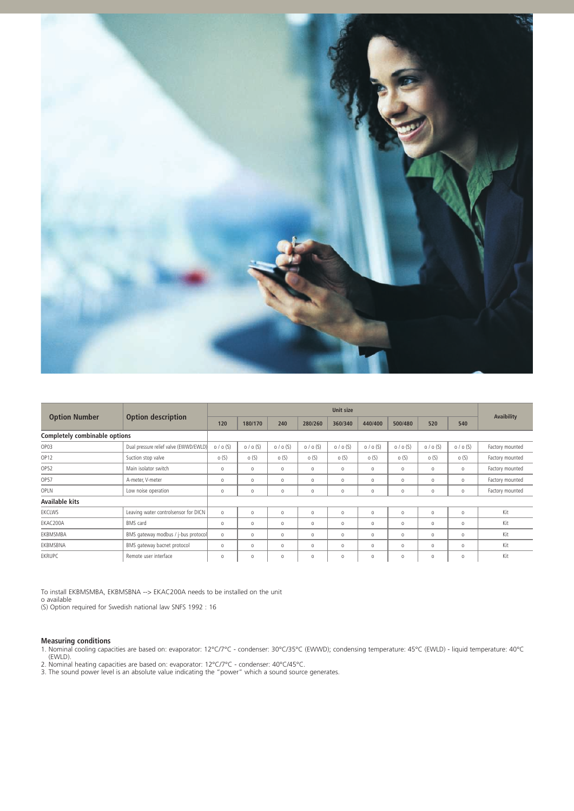

|                               | <b>Option description</b>              | <b>Unit size</b> |         |         |         |           |           |          |           |           |                 |
|-------------------------------|----------------------------------------|------------------|---------|---------|---------|-----------|-----------|----------|-----------|-----------|-----------------|
| <b>Option Number</b>          |                                        | 120              | 180/170 | 240     | 280/260 | 360/340   | 440/400   | 500/480  | 520       | 540       | Avaibility      |
| Completely combinable options |                                        |                  |         |         |         |           |           |          |           |           |                 |
| OP03                          | Dual pressure relief valve (EWWD/EWLD) | o / o (S)        | 0/0(S)  | 0/0(S)  | 0/0(S)  | $0/0$ (S) | $0/0$ (S) | 0/0(S)   | $0/0$ (S) | $0/0$ (S) | Factory mounted |
| OP <sub>12</sub>              | Suction stop valve                     | o(S)             | O(S)    | o(S)    | O(S)    | o(S)      | o(S)      | o(S)     | o(S)      | o(S)      | Factory mounted |
| OP52                          | Main isolator switch                   | $\circ$          | $\circ$ | $\circ$ | $\circ$ | $\circ$   | $\circ$   | $\circ$  | $\circ$   | $\circ$   | Factory mounted |
| OP57                          | A-meter, V-meter                       | $\circ$          | $\circ$ | $\circ$ | $\circ$ | 0         | $\circ$   | $\circ$  | $\circ$   | $\circ$   | Factory mounted |
| OPLN                          | Low noise operation                    | $\circ$          | $\circ$ | $\circ$ | $\circ$ | $\circ$   | $\circ$   | $\circ$  | $\circ$   | $\circ$   | Factory mounted |
| Available kits                |                                        |                  |         |         |         |           |           |          |           |           |                 |
| EKCLWS                        | Leaving water controlsensor for DICN   | $\circ$          | $\circ$ | $\circ$ | $\circ$ | $\circ$   | $\circ$   | $\circ$  | $\circ$   | $\circ$   | Kit             |
| EKAC200A                      | <b>BMS</b> card                        | $\circ$          | $\circ$ | $\circ$ | $\circ$ | 0         | $\circ$   | $\circ$  | $\circ$   | 0         | Kit             |
| EKBMSMBA                      | BMS gateway modbus / j-bus protocol    | $\circ$          | $\circ$ | $\circ$ | $\circ$ | $\circ$   | $\circ$   | $\circ$  | $\circ$   | $\circ$   | Kit             |
| EKBMSBNA                      | BMS gateway bacnet protocol            | $\circ$          | $\circ$ | $\circ$ | $\circ$ | 0         | $\circ$   | $\Omega$ | $\circ$   | 0         | Kit             |
| <b>EKRUPC</b>                 | Remote user interface                  | $\circ$          | $\circ$ | $\circ$ | $\circ$ | $\circ$   | $\circ$   | $\circ$  | $\circ$   | $\circ$   | Kit             |

To install EKBMSMBA, EKBMSBNA --> EKAC200A needs to be installed on the unit o available

(S) Option required for Swedish national law SNFS 1992 : 16

**Measuring conditions**<br>1. Nominal cooling capacities are based on: evaporator: 12°C/7°C - condenser: 30°C/35°C (EWWD); condensing temperature: 45°C (EWLD) - liquid temperature: 40°C (EWLD).

2. Nominal heating capacities are based on: evaporator: 12°C/7°C - condenser: 40°C/45°C.

3. The sound power level is an absolute value indicating the "power" which a sound source generates.